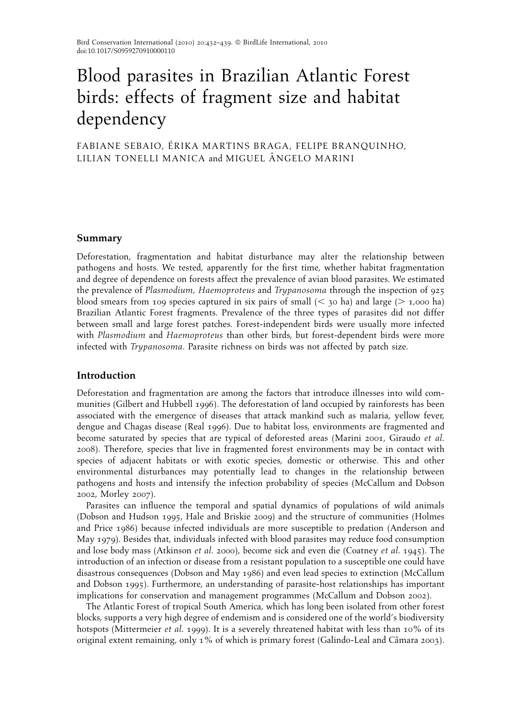# Blood parasites in Brazilian Atlantic Forest birds: effects of fragment size and habitat dependency

FABIANE SEBAIO, ÉRIKA MARTINS BRAGA, FELIPE BRANQUINHO, LILIAN TONELLI MANICA and MIGUEL Aˆ NGELO MARINI

# Summary

Deforestation, fragmentation and habitat disturbance may alter the relationship between pathogens and hosts. We tested, apparently for the first time, whether habitat fragmentation and degree of dependence on forests affect the prevalence of avian blood parasites. We estimated the prevalence of Plasmodium, Haemoproteus and Trypanosoma through the inspection of 925 blood smears from 109 species captured in six pairs of small  $( $30$  ha) and large ( $>1,000$  ha)$ Brazilian Atlantic Forest fragments. Prevalence of the three types of parasites did not differ between small and large forest patches. Forest-independent birds were usually more infected with Plasmodium and Haemoproteus than other birds, but forest-dependent birds were more infected with Trypanosoma. Parasite richness on birds was not affected by patch size.

# Introduction

Deforestation and fragmentation are among the factors that introduce illnesses into wild communities (Gilbert and Hubbell 1996). The deforestation of land occupied by rainforests has been associated with the emergence of diseases that attack mankind such as malaria, yellow fever, dengue and Chagas disease (Real 1996). Due to habitat loss, environments are fragmented and become saturated by species that are typical of deforested areas (Marini 2001, Giraudo et al. 2008). Therefore, species that live in fragmented forest environments may be in contact with species of adjacent habitats or with exotic species, domestic or otherwise. This and other environmental disturbances may potentially lead to changes in the relationship between pathogens and hosts and intensify the infection probability of species (McCallum and Dobson 2002, Morley 2007).

Parasites can influence the temporal and spatial dynamics of populations of wild animals (Dobson and Hudson 1995, Hale and Briskie 2009) and the structure of communities (Holmes and Price 1986) because infected individuals are more susceptible to predation (Anderson and May 1979). Besides that, individuals infected with blood parasites may reduce food consumption and lose body mass (Atkinson et al. 2000), become sick and even die (Coatney et al. 1945). The introduction of an infection or disease from a resistant population to a susceptible one could have disastrous consequences (Dobson and May 1986) and even lead species to extinction (McCallum and Dobson 1995). Furthermore, an understanding of parasite-host relationships has important implications for conservation and management programmes (McCallum and Dobson 2002).

The Atlantic Forest of tropical South America, which has long been isolated from other forest blocks, supports a very high degree of endemism and is considered one of the world's biodiversity hotspots (Mittermeier et al. 1999). It is a severely threatened habitat with less than 10% of its original extent remaining, only 1% of which is primary forest (Galindo-Leal and Câmara 2003).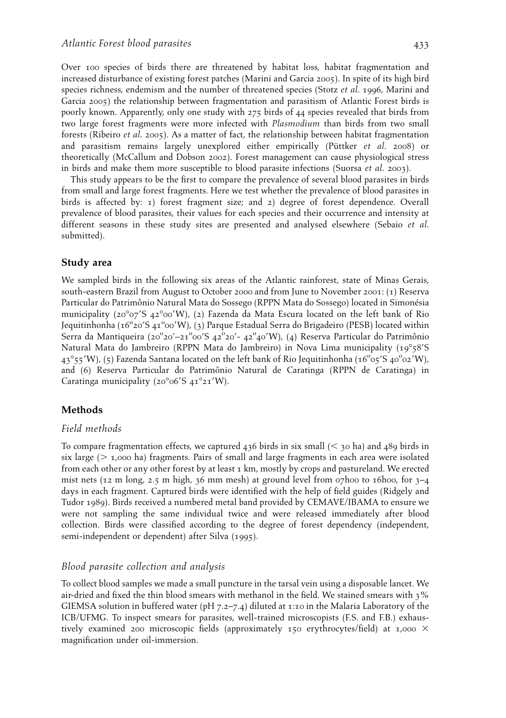Over 100 species of birds there are threatened by habitat loss, habitat fragmentation and increased disturbance of existing forest patches (Marini and Garcia 2005). In spite of its high bird species richness, endemism and the number of threatened species (Stotz *et al.* 1996, Marini and Garcia 2005) the relationship between fragmentation and parasitism of Atlantic Forest birds is poorly known. Apparently, only one study with 275 birds of 44 species revealed that birds from two large forest fragments were more infected with Plasmodium than birds from two small forests (Ribeiro et al. 2005). As a matter of fact, the relationship between habitat fragmentation and parasitism remains largely unexplored either empirically (Püttker *et al.* 2008) or theoretically (McCallum and Dobson 2002). Forest management can cause physiological stress in birds and make them more susceptible to blood parasite infections (Suorsa et al. 2003).

This study appears to be the first to compare the prevalence of several blood parasites in birds from small and large forest fragments. Here we test whether the prevalence of blood parasites in birds is affected by: 1) forest fragment size; and 2) degree of forest dependence. Overall prevalence of blood parasites, their values for each species and their occurrence and intensity at different seasons in these study sites are presented and analysed elsewhere (Sebaio et al. submitted).

#### Study area

We sampled birds in the following six areas of the Atlantic rainforest, state of Minas Gerais, south-eastern Brazil from August to October 2000 and from June to November 2001: (1) Reserva Particular do Patrimônio Natural Mata do Sossego (RPPN Mata do Sossego) located in Simonésia municipality (20°07'S 42°00'W), (2) Fazenda da Mata Escura located on the left bank of Rio Jequitinhonha (16°20'S 41°00'W), (3) Parque Estadual Serra do Brigadeiro (PESB) located within Serra da Mantiqueira (20°20'–21°00'S 42°20'- 42°40'W), (4) Reserva Particular do Patrimônio Natural Mata do Jambreiro (RPPN Mata do Jambreiro) in Nova Lima municipality (19°58′S 43°55'W), (5) Fazenda Santana located on the left bank of Rio Jequitinhonha (16°05'S 40°02'W), and (6) Reserva Particular do Patrimônio Natural de Caratinga (RPPN de Caratinga) in Caratinga municipality (20°06'S 41°21'W).

# Methods

#### Field methods

To compare fragmentation effects, we captured 436 birds in six small  $( $30 \text{ ha}$ )$  and 489 birds in six large ( $>$  1,000 ha) fragments. Pairs of small and large fragments in each area were isolated from each other or any other forest by at least 1 km, mostly by crops and pastureland. We erected mist nets (12 m long, 2.5 m high, 36 mm mesh) at ground level from 07h00 to 16h00, for  $3-4$ days in each fragment. Captured birds were identified with the help of field guides (Ridgely and Tudor 1989). Birds received a numbered metal band provided by CEMAVE/IBAMA to ensure we were not sampling the same individual twice and were released immediately after blood collection. Birds were classified according to the degree of forest dependency (independent, semi-independent or dependent) after Silva (1995).

#### Blood parasite collection and analysis

To collect blood samples we made a small puncture in the tarsal vein using a disposable lancet. We air-dried and fixed the thin blood smears with methanol in the field. We stained smears with 3% GIEMSA solution in buffered water (pH 7.2–7.4) diluted at 1:10 in the Malaria Laboratory of the ICB/UFMG. To inspect smears for parasites, well-trained microscopists (F.S. and F.B.) exhaustively examined 200 microscopic fields (approximately 150 erythrocytes/field) at 1,000  $\times$ magnification under oil-immersion.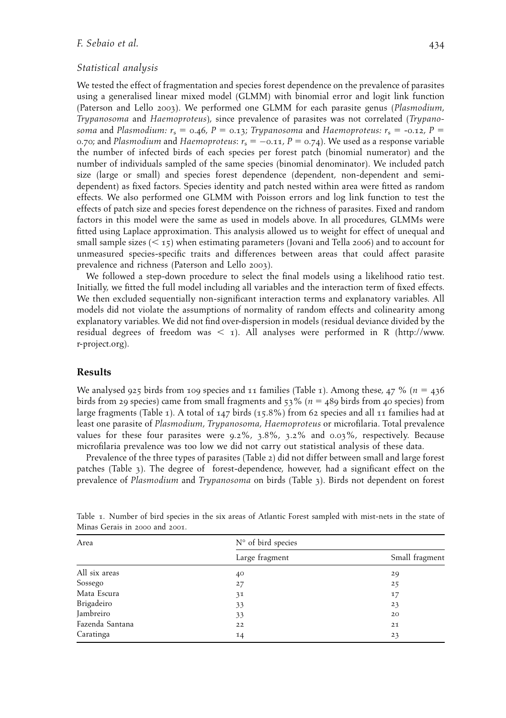## F. Sebaio et al. 434

## Statistical analysis

We tested the effect of fragmentation and species forest dependence on the prevalence of parasites using a generalised linear mixed model (GLMM) with binomial error and logit link function (Paterson and Lello 2003). We performed one GLMM for each parasite genus (Plasmodium, Trypanosoma and Haemoproteus), since prevalence of parasites was not correlated (Trypanosoma and Plasmodium:  $r_s = 0.46$ ,  $P = 0.13$ ; Trypanosoma and Haemoproteus:  $r_s = -0.12$ ,  $P =$ 0.70; and Plasmodium and Haemoproteus:  $r_{\rm s}$  =  $-$ 0.11, P = 0.74). We used as a response variable the number of infected birds of each species per forest patch (binomial numerator) and the number of individuals sampled of the same species (binomial denominator). We included patch size (large or small) and species forest dependence (dependent, non-dependent and semidependent) as fixed factors. Species identity and patch nested within area were fitted as random effects. We also performed one GLMM with Poisson errors and log link function to test the effects of patch size and species forest dependence on the richness of parasites. Fixed and random factors in this model were the same as used in models above. In all procedures, GLMMs were fitted using Laplace approximation. This analysis allowed us to weight for effect of unequal and small sample sizes  $(< 15)$  when estimating parameters (Jovani and Tella 2006) and to account for unmeasured species-specific traits and differences between areas that could affect parasite prevalence and richness (Paterson and Lello 2003).

We followed a step-down procedure to select the final models using a likelihood ratio test. Initially, we fitted the full model including all variables and the interaction term of fixed effects. We then excluded sequentially non-significant interaction terms and explanatory variables. All models did not violate the assumptions of normality of random effects and colinearity among explanatory variables. We did not find over-dispersion in models (residual deviance divided by the residual degrees of freedom was  $\langle 1 \rangle$ . All analyses were performed in R (http://www. r-project.org).

#### Results

We analysed 925 birds from 109 species and 11 families (Table 1). Among these, 47 % ( $n = 436$ birds from 29 species) came from small fragments and  $53\%$  ( $n = 489$  birds from 40 species) from large fragments (Table 1). A total of 147 birds (15.8%) from 62 species and all 11 families had at least one parasite of Plasmodium, Trypanosoma, Haemoproteus or microfilaria. Total prevalence values for these four parasites were 9.2%, 3.8%, 3.2% and 0.03%, respectively. Because microfilaria prevalence was too low we did not carry out statistical analysis of these data.

Prevalence of the three types of parasites (Table 2) did not differ between small and large forest patches (Table 3). The degree of forest-dependence, however, had a significant effect on the prevalence of Plasmodium and Trypanosoma on birds (Table 3). Birds not dependent on forest

| Area            | N° of bird species |                |  |  |
|-----------------|--------------------|----------------|--|--|
|                 | Large fragment     | Small fragment |  |  |
| All six areas   | 40                 | 29             |  |  |
| Sossego         | 27                 | 25             |  |  |
| Mata Escura     | 31                 | 17             |  |  |
| Brigadeiro      | 33                 | 23             |  |  |
| Jambreiro       | 33                 | 20             |  |  |
| Fazenda Santana | 22                 | 21             |  |  |
| Caratinga       | 14                 | 23             |  |  |

Table 1. Number of bird species in the six areas of Atlantic Forest sampled with mist-nets in the state of Minas Gerais in 2000 and 2001.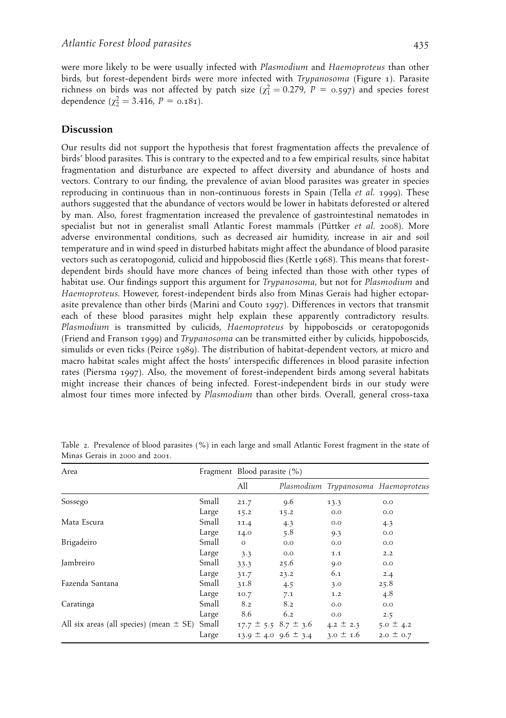were more likely to be were usually infected with Plasmodium and Haemoproteus than other birds, but forest-dependent birds were more infected with Trypanosoma (Figure 1). Parasite richness on birds was not affected by patch size ( $\chi^2$  = 0.279, P = 0.597) and species forest dependence ( $\chi^2$  = 3.416, P = 0.181).

# Discussion

Our results did not support the hypothesis that forest fragmentation affects the prevalence of birds' blood parasites. This is contrary to the expected and to a few empirical results, since habitat fragmentation and disturbance are expected to affect diversity and abundance of hosts and vectors. Contrary to our finding, the prevalence of avian blood parasites was greater in species reproducing in continuous than in non-continuous forests in Spain (Tella et al. 1999). These authors suggested that the abundance of vectors would be lower in habitats deforested or altered by man. Also, forest fragmentation increased the prevalence of gastrointestinal nematodes in specialist but not in generalist small Atlantic Forest mammals (Püttker et al. 2008). More adverse environmental conditions, such as decreased air humidity, increase in air and soil temperature and in wind speed in disturbed habitats might affect the abundance of blood parasite vectors such as ceratopogonid, culicid and hippoboscid flies (Kettle 1968). This means that forestdependent birds should have more chances of being infected than those with other types of habitat use. Our findings support this argument for *Trypanosoma*, but not for *Plasmodium* and Haemoproteus. However, forest-independent birds also from Minas Gerais had higher ectoparasite prevalence than other birds (Marini and Couto 1997). Differences in vectors that transmit each of these blood parasites might help explain these apparently contradictory results. Plasmodium is transmitted by culicids, Haemoproteus by hippoboscids or ceratopogonids (Friend and Franson 1999) and Trypanosoma can be transmitted either by culicids, hippoboscids, simulids or even ticks (Peirce 1989). The distribution of habitat-dependent vectors, at micro and macro habitat scales might affect the hosts' interspecific differences in blood parasite infection rates (Piersma 1997). Also, the movement of forest-independent birds among several habitats might increase their chances of being infected. Forest-independent birds in our study were almost four times more infected by Plasmodium than other birds. Overall, general cross-taxa

| Area                                        |       | Fragment Blood parasite (%) |                              |               |                                     |
|---------------------------------------------|-------|-----------------------------|------------------------------|---------------|-------------------------------------|
|                                             |       | All                         |                              |               | Plasmodium Trypanosoma Haemoproteus |
| Sossego                                     | Small | 21.7                        | 9.6                          | 13.3          | 0.0                                 |
|                                             | Large | 15.2                        | 15.2                         | 0.0           | 0.0                                 |
| Mata Escura                                 | Small | 11.4                        | 4.3                          | 0.0           | 4.3                                 |
|                                             | Large | 14.0                        | 5.8                          | 9.3           | 0.0                                 |
| Brigadeiro                                  | Small | $\circ$                     | 0.0                          | 0.0           | 0.0                                 |
|                                             | Large | 3.3                         | 0.0                          | 1.1           | 2.2                                 |
| Jambreiro                                   | Small | 33.3                        | 25.6                         | 9.0           | 0.0                                 |
|                                             | Large | 31.7                        | 23.2                         | 6.1           | 2.4                                 |
| Fazenda Santana                             | Small | 31.8                        | 4.5                          | 3.0           | 25.8                                |
|                                             | Large | 10.7                        | 7.1                          | 1.2           | 4.8                                 |
| Caratinga                                   | Small | 8.2                         | 8.2                          | O.O           | 0.0                                 |
|                                             | Large | 8.6                         | 6.2                          | O.O           | 2.5                                 |
| All six areas (all species) (mean $\pm$ SE) | Small |                             | $17.7 \pm 5.5$ $8.7 \pm 3.6$ | $4.2 \pm 2.3$ | $5.0 \pm 4.2$                       |
|                                             | Large |                             | $13.9 \pm 4.0$ 9.6 $\pm$ 3.4 | $3.0 \pm 1.6$ | $2.0 \pm 0.7$                       |

Table 2. Prevalence of blood parasites (%) in each large and small Atlantic Forest fragment in the state of Minas Gerais in 2000 and 2001.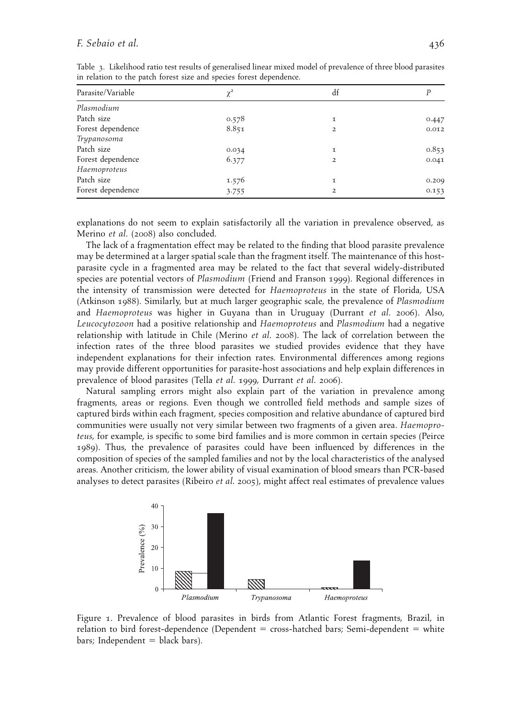### F. Sebaio et al. 436

| Parasite/Variable | $\chi^2$ | df             |       |
|-------------------|----------|----------------|-------|
| Plasmodium        |          |                |       |
| Patch size        | 0.578    | 1              | 0.447 |
| Forest dependence | 8.851    | $\overline{2}$ | 0.012 |
| Trypanosoma       |          |                |       |
| Patch size        | 0.034    | 1              | 0.853 |
| Forest dependence | 6.377    | $\overline{2}$ | 0.041 |
| Haemoproteus      |          |                |       |
| Patch size        | 1.576    | 1              | 0.209 |
| Forest dependence | 3.755    | $\overline{2}$ | 0.153 |

Table 3. Likelihood ratio test results of generalised linear mixed model of prevalence of three blood parasites in relation to the patch forest size and species forest dependence.

explanations do not seem to explain satisfactorily all the variation in prevalence observed, as Merino et al. (2008) also concluded.

The lack of a fragmentation effect may be related to the finding that blood parasite prevalence may be determined at a larger spatial scale than the fragment itself. The maintenance of this hostparasite cycle in a fragmented area may be related to the fact that several widely-distributed species are potential vectors of *Plasmodium* (Friend and Franson 1999). Regional differences in the intensity of transmission were detected for Haemoproteus in the state of Florida, USA (Atkinson 1988). Similarly, but at much larger geographic scale, the prevalence of Plasmodium and Haemoproteus was higher in Guyana than in Uruguay (Durrant et al. 2006). Also, Leucocytozoon had a positive relationship and Haemoproteus and Plasmodium had a negative relationship with latitude in Chile (Merino et al. 2008). The lack of correlation between the infection rates of the three blood parasites we studied provides evidence that they have independent explanations for their infection rates. Environmental differences among regions may provide different opportunities for parasite-host associations and help explain differences in prevalence of blood parasites (Tella et al. 1999, Durrant et al. 2006).

Natural sampling errors might also explain part of the variation in prevalence among fragments, areas or regions. Even though we controlled field methods and sample sizes of captured birds within each fragment, species composition and relative abundance of captured bird communities were usually not very similar between two fragments of a given area. Haemoproteus, for example, is specific to some bird families and is more common in certain species (Peirce 1989). Thus, the prevalence of parasites could have been influenced by differences in the composition of species of the sampled families and not by the local characteristics of the analysed areas. Another criticism, the lower ability of visual examination of blood smears than PCR-based analyses to detect parasites (Ribeiro et al. 2005), might affect real estimates of prevalence values



Figure 1. Prevalence of blood parasites in birds from Atlantic Forest fragments, Brazil, in relation to bird forest-dependence (Dependent  $=$  cross-hatched bars; Semi-dependent  $=$  white  $bars; Independent = black bars).$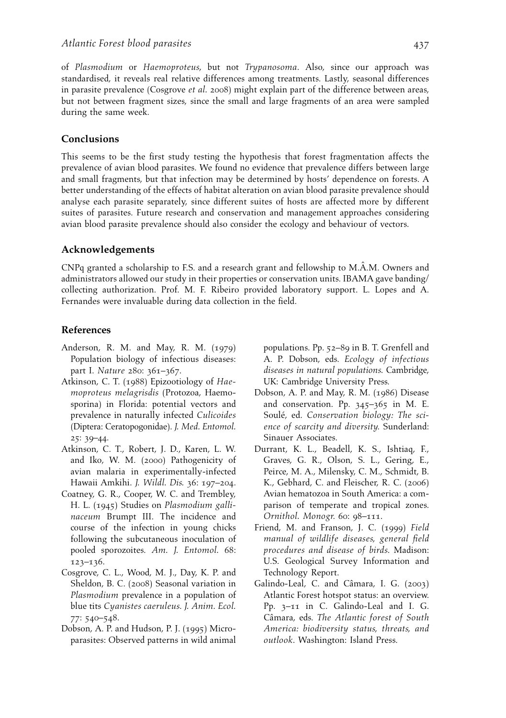of Plasmodium or Haemoproteus, but not Trypanosoma. Also, since our approach was standardised, it reveals real relative differences among treatments. Lastly, seasonal differences in parasite prevalence (Cosgrove *et al.* 2008) might explain part of the difference between areas, but not between fragment sizes, since the small and large fragments of an area were sampled during the same week.

# Conclusions

This seems to be the first study testing the hypothesis that forest fragmentation affects the prevalence of avian blood parasites. We found no evidence that prevalence differs between large and small fragments, but that infection may be determined by hosts' dependence on forests. A better understanding of the effects of habitat alteration on avian blood parasite prevalence should analyse each parasite separately, since different suites of hosts are affected more by different suites of parasites. Future research and conservation and management approaches considering avian blood parasite prevalence should also consider the ecology and behaviour of vectors.

# Acknowledgements

CNPq granted a scholarship to F.S. and a research grant and fellowship to M.A.M. Owners and administrators allowed our study in their properties or conservation units. IBAMA gave banding/ collecting authorization. Prof. M. F. Ribeiro provided laboratory support. L. Lopes and A. Fernandes were invaluable during data collection in the field.

# References

- Anderson, R. M. and May, R. M. (1979) Population biology of infectious diseases: part I. Nature 280: 361–367.
- Atkinson, C. T. (1988) Epizootiology of Haemoproteus melagrisdis (Protozoa, Haemosporina) in Florida: potential vectors and prevalence in naturally infected Culicoides (Diptera: Ceratopogonidae). J. Med. Entomol. 25: 39–44.
- Atkinson, C. T., Robert, J. D., Karen, L. W. and Iko, W. M. (2000) Pathogenicity of avian malaria in experimentally-infected Hawaii Amkihi. J. Wildl. Dis. 36: 197–204.
- Coatney, G. R., Cooper, W. C. and Trembley, H. L. (1945) Studies on Plasmodium gallinaceum Brumpt III. The incidence and course of the infection in young chicks following the subcutaneous inoculation of pooled sporozoites. Am. J. Entomol. 68: 123–136.
- Cosgrove, C. L., Wood, M. J., Day, K. P. and Sheldon, B. C. (2008) Seasonal variation in Plasmodium prevalence in a population of blue tits Cyanistes caeruleus. J. Anim. Ecol. 77: 540–548.
- Dobson, A. P. and Hudson, P. J. (1995) Microparasites: Observed patterns in wild animal

populations. Pp. 52–89 in B. T. Grenfell and A. P. Dobson, eds. Ecology of infectious diseases in natural populations. Cambridge, UK: Cambridge University Press.

- Dobson, A. P. and May, R. M. (1986) Disease and conservation. Pp. 345–365 in M. E. Soulé, ed. Conservation biology: The science of scarcity and diversity. Sunderland: Sinauer Associates.
- Durrant, K. L., Beadell, K. S., Ishtiaq, F., Graves, G. R., Olson, S. L., Gering, E., Peirce, M. A., Milensky, C. M., Schmidt, B. K., Gebhard, C. and Fleischer, R. C. (2006) Avian hematozoa in South America: a comparison of temperate and tropical zones. Ornithol. Monogr. 60: 98–111.
- Friend, M. and Franson, J. C. (1999) Field manual of wildlife diseases, general field procedures and disease of birds. Madison: U.S. Geological Survey Information and Technology Report.
- Galindo-Leal, C. and Câmara, I. G. (2003) Atlantic Forest hotspot status: an overview. Pp. 3–11 in C. Galindo-Leal and I. G. Câmara, eds. The Atlantic forest of South America: biodiversity status, threats, and outlook. Washington: Island Press.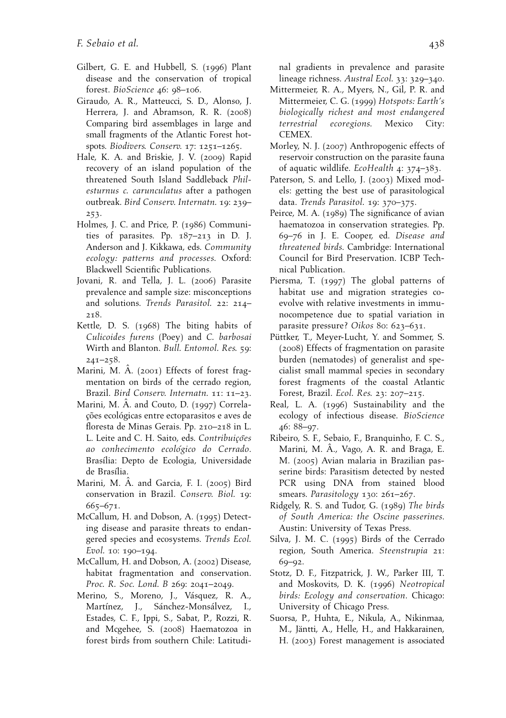- Gilbert, G. E. and Hubbell, S. (1996) Plant disease and the conservation of tropical forest. BioScience 46: 98–106.
- Giraudo, A. R., Matteucci, S. D., Alonso, J. Herrera, J. and Abramson, R. R. (2008) Comparing bird assemblages in large and small fragments of the Atlantic Forest hotspots. Biodivers. Conserv. 17: 1251–1265.
- Hale, K. A. and Briskie, J. V. (2009) Rapid recovery of an island population of the threatened South Island Saddleback Philesturnus c. carunculatus after a pathogen outbreak. Bird Conserv. Internatn. 19: 239– 253.
- Holmes, J. C. and Price, P. (1986) Communities of parasites. Pp. 187–213 in D. J. Anderson and J. Kikkawa, eds. Community ecology: patterns and processes. Oxford: Blackwell Scientific Publications.
- Jovani, R. and Tella, J. L. (2006) Parasite prevalence and sample size: misconceptions and solutions. Trends Parasitol. 22: 214– 218.
- Kettle, D. S. (1968) The biting habits of Culicoides furens (Poey) and C. barbosai Wirth and Blanton. Bull. Entomol. Res. 59: 241–258.
- Marini, M.  $\hat{A}$ . (2001) Effects of forest fragmentation on birds of the cerrado region, Brazil. Bird Conserv. Internatn. 11: 11–23.
- Marini, M. A. and Couto, D. (1997) Correlações ecológicas entre ectoparasitos e aves de floresta de Minas Gerais. Pp. 210–218 in L. L. Leite and C. H. Saito, eds. Contribuicões ao conhecimento ecológico do Cerrado. Brasília: Depto de Ecologia, Universidade de Brasília.
- Marini, M. Â. and Garcia, F. I. (2005) Bird conservation in Brazil. Conserv. Biol. 19: 665–671.
- McCallum, H. and Dobson, A. (1995) Detecting disease and parasite threats to endangered species and ecosystems. Trends Ecol. Evol. 10: 190–194.
- McCallum, H. and Dobson, A. (2002) Disease, habitat fragmentation and conservation. Proc. R. Soc. Lond. B 269: 2041–2049.
- Merino, S., Moreno, J., Vásquez, R. A., Martínez, J., Sánchez-Monsálvez, I., Estades, C. F., Ippi, S., Sabat, P., Rozzi, R. and Mcgehee, S. (2008) Haematozoa in forest birds from southern Chile: Latitudi-

nal gradients in prevalence and parasite lineage richness. Austral Ecol. 33: 329–340.

- Mittermeier, R. A., Myers, N., Gil, P. R. and Mittermeier, C. G. (1999) Hotspots: Earth's biologically richest and most endangered terrestrial ecoregions. Mexico City: CEMEX.
- Morley, N. J. (2007) Anthropogenic effects of reservoir construction on the parasite fauna of aquatic wildlife. EcoHealth 4: 374–383.
- Paterson, S. and Lello, J. (2003) Mixed models: getting the best use of parasitological data. Trends Parasitol. 19: 370–375.
- Peirce, M. A. (1989) The significance of avian haematozoa in conservation strategies. Pp. 69–76 in J. E. Cooper, ed. Disease and threatened birds. Cambridge: International Council for Bird Preservation. ICBP Technical Publication.
- Piersma, T. (1997) The global patterns of habitat use and migration strategies coevolve with relative investments in immunocompetence due to spatial variation in parasite pressure? Oikos 80: 623–631.
- Püttker, T., Meyer-Lucht, Y. and Sommer, S. (2008) Effects of fragmentation on parasite burden (nematodes) of generalist and specialist small mammal species in secondary forest fragments of the coastal Atlantic Forest, Brazil. Ecol. Res. 23: 207–215.
- Real, L. A. (1996) Sustainability and the ecology of infectious disease. BioScience 46: 88–97.
- Ribeiro, S. F., Sebaio, F., Branquinho, F. C. S., Marini, M.  $\hat{A}$ ., Vago, A. R. and Braga, E. M. (2005) Avian malaria in Brazilian passerine birds: Parasitism detected by nested PCR using DNA from stained blood smears. Parasitology 130: 261-267.
- Ridgely, R. S. and Tudor, G. (1989) The birds of South America: the Oscine passerines. Austin: University of Texas Press.
- Silva, J. M. C. (1995) Birds of the Cerrado region, South America. Steenstrupia 21: 69–92.
- Stotz, D. F., Fitzpatrick, J. W., Parker III, T. and Moskovits, D. K. (1996) Neotropical birds: Ecology and conservation. Chicago: University of Chicago Press.
- Suorsa, P., Huhta, E., Nikula, A., Nikinmaa, M., Jäntti, A., Helle, H., and Hakkarainen, H. (2003) Forest management is associated